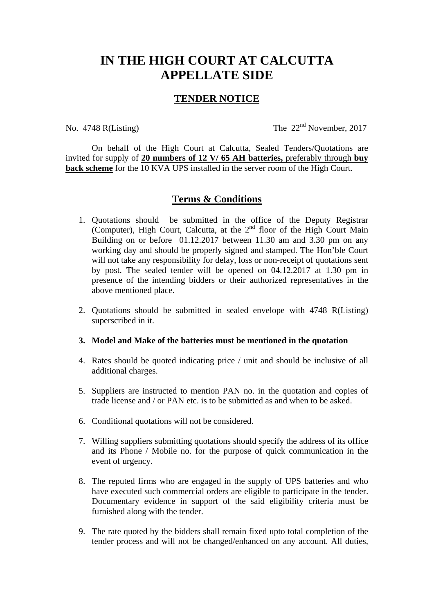## **IN THE HIGH COURT AT CALCUTTA APPELLATE SIDE**

## **TENDER NOTICE**

No. 4748 R(Listing) The 22<sup>nd</sup> November, 2017

 On behalf of the High Court at Calcutta, Sealed Tenders/Quotations are invited for supply of **20 numbers of 12 V/ 65 AH batteries,** preferably through **buy back scheme** for the 10 KVA UPS installed in the server room of the High Court.

## **Terms & Conditions**

- 1. Quotations should be submitted in the office of the Deputy Registrar (Computer), High Court, Calcutta, at the  $2<sup>nd</sup>$  floor of the High Court Main Building on or before 01.12.2017 between 11.30 am and 3.30 pm on any working day and should be properly signed and stamped. The Hon'ble Court will not take any responsibility for delay, loss or non-receipt of quotations sent by post. The sealed tender will be opened on 04.12.2017 at 1.30 pm in presence of the intending bidders or their authorized representatives in the above mentioned place.
- 2. Quotations should be submitted in sealed envelope with 4748 R(Listing) superscribed in it.

## **3. Model and Make of the batteries must be mentioned in the quotation**

- 4. Rates should be quoted indicating price / unit and should be inclusive of all additional charges.
- 5. Suppliers are instructed to mention PAN no. in the quotation and copies of trade license and / or PAN etc. is to be submitted as and when to be asked.
- 6. Conditional quotations will not be considered.
- 7. Willing suppliers submitting quotations should specify the address of its office and its Phone / Mobile no. for the purpose of quick communication in the event of urgency.
- 8. The reputed firms who are engaged in the supply of UPS batteries and who have executed such commercial orders are eligible to participate in the tender. Documentary evidence in support of the said eligibility criteria must be furnished along with the tender.
- 9. The rate quoted by the bidders shall remain fixed upto total completion of the tender process and will not be changed/enhanced on any account. All duties,